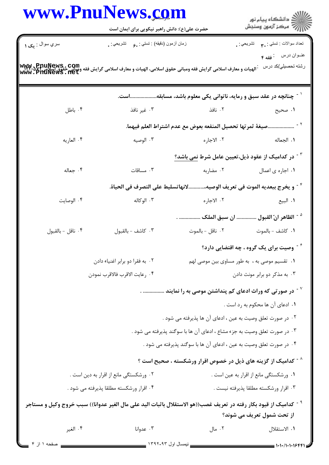|                                        | www.PnuNews.com<br>حضرت علی(ع): دانش راهبر نیکویی برای ایمان است                                                                            |                                                                                     | ر دانشگاه پيام نور<br>دانشگاه پيام نور (            |
|----------------------------------------|---------------------------------------------------------------------------------------------------------------------------------------------|-------------------------------------------------------------------------------------|-----------------------------------------------------|
| سري سوال : يک ۱                        | زمان أزمون (دقيقه) : تستي : , ع     تشريحي : .                                                                                              |                                                                                     | تعداد سوالات : تستي : پم       تشريحي : .           |
|                                        | .<br>الهيات و معارف اسلامي گرايش فقه ومباني حقوق اسلامي، الهيات و معارف اسلامي گرايش فقه ومباني حقوق اسلامي گرد. www<br>www . PHUNewS . Net |                                                                                     | عنــوان درس    : فقه ۴<br>رشته تحصيلي/كد درس        |
|                                        |                                                                                                                                             | <sup>۱ -</sup> چنانچه در عقد سبق و رمایه، ناتوانی یکی معلوم باشد، مسابقهاست.        |                                                     |
| ۰۴ باطل                                | ۰۳ غیر نافذ                                                                                                                                 | ۰۲ نافذ                                                                             | ۰۱ صحیح                                             |
|                                        |                                                                                                                                             | .صيغة ثمرتها تحصيل المنفعه بعوض مع عدم اشتراط العلم فيهما.                          |                                                     |
| ۰۴ العاريه                             | ۰۳ الوصيه                                                                                                                                   | ۰۲ الاجاره                                                                          | ١. الجعاله                                          |
|                                        |                                                                                                                                             | <sup>۳ -</sup> در کدامیک از عقود ذیل،تعیین عامل شرط <u>نمی باشد؟</u>                |                                                     |
| ۰۴ جعاله                               | ۰۳ مساقات                                                                                                                                   |                                                                                     | ۰۱ اجاره ی اعمال مضاربه است. ۲۰ مضاربه              |
|                                        |                                                                                                                                             | <sup>٢ -</sup> و يخرج ببعديه الموت في تعريف الوصيه،لانهاتسليط على التصرف في الحياة. |                                                     |
| ۰۴ الوصايت                             | ۰۳ الوکاله                                                                                                                                  | ۰۲ الاجاره                                                                          | ۰۱ البيع                                            |
|                                        |                                                                                                                                             | <sup>ه -</sup> الظاهر انّ القبول  ان سبق الملک  .                                   |                                                     |
| ۰۴ ناقل - بالقبول                      | ٠٣ كاشف - بالقبول                                                                                                                           | ٠٢ ناقل - بالموت                                                                    | ٠١ كاشف - بالموت                                    |
|                                        |                                                                                                                                             |                                                                                     | <sup>۶ -</sup> وصیت برای یک گروه ، چه اقتضایی دارد؟ |
| ۰۲ به فقرا دو برابر اغنیاء دادن        |                                                                                                                                             | ۰۱ تقسیم موصی به ، به طور مساوی بین موصی لهم                                        |                                                     |
| ۰۴ رعايت الاقرب فالاقرب نمودن          |                                                                                                                                             |                                                                                     | ۰۳ به مذکر دو برابر مونث دادن                       |
|                                        |                                                                                                                                             | <sup>۷ -</sup> در صورتی که وراث ادعای کم پنداشتن موصی به را نمایند  .               |                                                     |
|                                        |                                                                                                                                             |                                                                                     | ٠١ ادعاى آن ها محكوم به رد است .                    |
|                                        |                                                                                                                                             | ۰۲ در صورت تعلق وصیت به عین ، ادعای آن ها پذیرفته می شود .                          |                                                     |
|                                        |                                                                                                                                             | ۰۳ در صورت تعلق وصیت به جزء مشاع ، ادعای آن ها با سوگند پذیرفته می شود .            |                                                     |
|                                        |                                                                                                                                             | ۰۴ در صورت تعلق وصیت به عین ، ادعای آن ها با سوگند پذیرفته می شود .                 |                                                     |
|                                        |                                                                                                                                             | <sup>^ -</sup> کدامیک از گزینه های ذیل در خصوص اقرار ورشکسته ، صحیح است ؟           |                                                     |
| ۰۲ ورشکستگی مانع از اقرار به دین است . |                                                                                                                                             | ٠١ ورشكستگي مانع از اقرار به عين است .                                              |                                                     |
|                                        | ۰۴ اقرار ورشکسته مطلقا پذیرفته می شود .                                                                                                     |                                                                                     | ۰۳ اقرار ورشكسته مطلقا پذيرفته نيست .               |
|                                        | <sup>9 -</sup> كداميك از قيود بكار رفته در تعريف غصب((هو الاستقلال باثبات اليد على مال الغير عدوانا)) سبب خروج وكيل و مستاجر                |                                                                                     |                                                     |
| ۰۴ الغير                               | ۰۳ عدوانا                                                                                                                                   | ۰۲ مال                                                                              | از تحت شمول تعریف می شوند؟<br>٠١ الاستقلال          |
|                                        |                                                                                                                                             |                                                                                     |                                                     |

 $\overline{a}$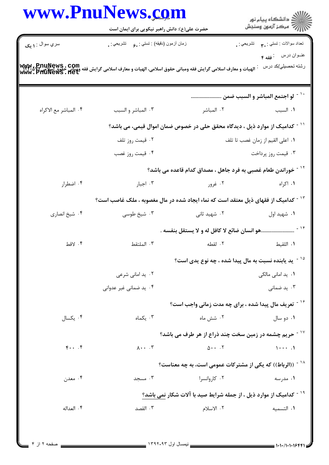|                       | www.PnuNews.com<br>حضرت علی(ع): دانش راهبر نیکویی برای ایمان است                                                                                                |                                                                                | ڪ دانشڪاه پيام نور<br>//> مرڪز آزمون وسنڊش   |
|-----------------------|-----------------------------------------------------------------------------------------------------------------------------------------------------------------|--------------------------------------------------------------------------------|----------------------------------------------|
| سري سوال : ١ يک       | زمان أزمون (دقيقه) : تستي : <sub>م</sub> و     تشريحي : <sub>م</sub>                                                                                            |                                                                                | نعداد سوالات : تستبي : پم       تشريحي : .   |
|                       | WWW. PDUNEWS . COM<br>- الهيات و معارف اسلامى گرايش فقه ومبانى حقوق اسلامى، الهيات و معارف اسلامى گرايش فقه فقه اللهيات و معارف اسلامى<br>WWW . PIIUNEWS . IIEU |                                                                                | عنوان درس : فقه ۴<br>رشته تحصيلي/كد درس      |
|                       |                                                                                                                                                                 |                                                                                |                                              |
|                       |                                                                                                                                                                 |                                                                                | <sup>۱۰ -</sup> لو اجتمع المباشر و السبب ضمن |
| ۴. المباشر مع الاكراه | ۰۳ المباشر و السبب                                                                                                                                              | ۰۲ المباشر                                                                     | ٠١. السبب                                    |
|                       | <sup>۱۱ -</sup> کدامیک از موارد ذیل ، دیدگاه محقق حلی در خصوص ضمان اموال قیمی، می باشد؟                                                                         |                                                                                |                                              |
|                       | ۰۲ قیمت روز تلف                                                                                                                                                 | ٠١ اعلى القيم از زمان غصب تا تلف                                               |                                              |
|                       | ۰۴ قیمت روز غصب                                                                                                                                                 |                                                                                | ۰۳ قیمت روز پرداخت                           |
|                       |                                                                                                                                                                 | <sup>۱۲ -</sup> خوراندن طعام غصبی به فرد جاهل ، مصداق کدام قاعده می باشد؟      |                                              |
| ۰۴ اضطرار             | ۰۳ اجبار                                                                                                                                                        | ۰۲ غرور                                                                        | ۰۱ اکراه                                     |
|                       | <sup>۱۳ -</sup> کدامیک از فقهای ذیل معتقد است که نماء ایجاد شده در مال مغصوبه ، ملک غاصب است؟                                                                   |                                                                                |                                              |
| ۰۴ شیخ انصاری         | ۰۳ شیخ طوسی                                                                                                                                                     | ۰۲ شهید ثانی                                                                   | ۰۱ شهید اول                                  |
|                       |                                                                                                                                                                 | <sup>۱۴ -</sup> هو انسان ضائع لا کافل له و لا يستقل بنفسه .                    |                                              |
| ۰۴ لاقط               | ۰۳ الملتقط                                                                                                                                                      | ٢. لقطه                                                                        | ٠١ اللقيط                                    |
|                       |                                                                                                                                                                 | ید یابنده نسبت به مال پیدا شده ، چه نوع یدی است؟ $^{\circ}$                    |                                              |
|                       | ۰۲ ید امانی شرعی                                                                                                                                                |                                                                                | ۰۱ ید امانی مالکی                            |
|                       | ۰۴ ید ضمانی غیر عدوانی                                                                                                                                          |                                                                                | ۰۳ ید ضمان <sub>ی</sub>                      |
|                       |                                                                                                                                                                 | <sup>۱۶ -</sup> تعریف مال پیدا شده ، برای چه مدت زمانی واجب است؟               |                                              |
| ۰۴ یکسال              | ۰۳ یکماه                                                                                                                                                        | ۰۲ شش ماه                                                                      | ۰۱ دو سال                                    |
|                       |                                                                                                                                                                 | <sup>۱۷ -</sup> حریم چشمه در زمین سخت چند ذراع از هر طرف می باشد؟              |                                              |
| $\mathfrak{f}$        | $\Lambda \cdot \cdot \cdot$ . ٣                                                                                                                                 | $\Delta \cdot \cdot \cdot$ . $\Upsilon$                                        | $1 \cdots 1$                                 |
|                       |                                                                                                                                                                 | <sup>۱۸ -</sup> ((الرباط)) که یکی از مشترکات عمومی است، به چه معناست؟          |                                              |
| ۰۴ معدن               | ۰۳ مسجد                                                                                                                                                         | ۰۲ کاروانسرا                                                                   | ۰۱ مدرسه                                     |
|                       |                                                                                                                                                                 | <sup>۱۹ -</sup> کدامیک از موارد ذیل ، از جمله شرایط صید با آلات شکار نمی باشد؟ |                                              |
| ۰۴ العداله            | ۰۳ القصد                                                                                                                                                        | ٢. الاسلام                                                                     | ٠١. التسميه                                  |

Ĭ.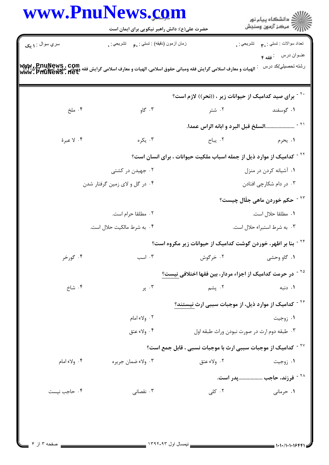|                 | حضرت علی(ع): دانش راهبر نیکویی برای ایمان است                                                                                         |                                                                                   | ر<br>ای دانشکاه پیام نور<br>ای                |
|-----------------|---------------------------------------------------------------------------------------------------------------------------------------|-----------------------------------------------------------------------------------|-----------------------------------------------|
| سري سوال : ۱ يک | زمان أزمون (دقيقه) : تستي : , و     تشريحي : .                                                                                        |                                                                                   | تعداد سوالات : تستي : ٣ <b>. س</b> تشريحي : . |
|                 |                                                                                                                                       |                                                                                   | عنــوان درس : فقه ۴                           |
|                 | للهيات و معارف اسلامي گرايش فقه ومباني حقوق اسلامي، الهيات و معارف اسلامي گرايش فقه ويباني خفوق اسلامي WW. SYT<br>WWW . PHUNeWS . Het |                                                                                   | رشته تحصيلي/كد درس                            |
|                 |                                                                                                                                       | `` - برای صید کدامیک از حیوانات زیر ، ((نحر)) لازم است؟                           |                                               |
| ۰۴ ملخ          | ۰۳ گاو                                                                                                                                | ۰۲ شتر                                                                            | ۰۱ گوسفند                                     |
|                 |                                                                                                                                       | السلخ قبل البرد و ابانه الراس عمدا.                                               | $-71$                                         |
| ۰۴ لا عبرهٔ     | ۰۳ يکره                                                                                                                               |                                                                                   | ١. يحرم مسال ٢٠. يباح                         |
|                 |                                                                                                                                       | <sup>۲۲ -</sup> کدامیک از موارد ذیل از جمله اسباب ملکیت حیوانات ، برای انسان است؟ |                                               |
|                 | ۰۲ جهیدن در کشتی                                                                                                                      |                                                                                   | ۰۱ آشیانه کردن در منزل                        |
|                 | ۰۴ در گل و لای زمین گرفتار شدن                                                                                                        | ۰۳ در دام شکارچی افتادن                                                           |                                               |
|                 |                                                                                                                                       |                                                                                   | <sup>۲۳ -</sup> حکم خوردن ماهی جلّال چیست؟    |
|                 | ۰۲ مطلقا حرام است.                                                                                                                    |                                                                                   | ٠١ مطلقا حلال است.                            |
|                 | ۰۴ به شرط مالکیت حلال است.                                                                                                            |                                                                                   | ۰۳ به شرط استبراء حلال است.                   |
|                 |                                                                                                                                       | بنا بر اظهر، خوردن گوشت کدامیک از حیوانات زیر مکروه است؟                          |                                               |
| ۰۴ گورخر        | ۰۳ اسب                                                                                                                                | ۰۲ خرگوش                                                                          | ۰۱ گاو وحشی                                   |
|                 |                                                                                                                                       | <sup>۲۵ -</sup> در حرمت کدامیک از اجزاء مردار، بین فقها اختلافی <u>نیست؟</u>      |                                               |
| ۰۴ شاخ          | ۰۳ پر                                                                                                                                 | ۰۲ پشم                                                                            | ۰۱ دنبه                                       |
|                 |                                                                                                                                       | <sup>۲۶ -</sup> کدامیک از موارد ذیل، از موجبات سببی ارث نیستند؟                   |                                               |
|                 | ۰۲ ولاء امام                                                                                                                          |                                                                                   | ۰۱ زوجيت                                      |
|                 | ۰۴ ولاء عتق                                                                                                                           | ۰۳ طبقه دوم ارث در صورت نبودن وراث طبقه اول                                       |                                               |
|                 |                                                                                                                                       | <sup>۲۷ -</sup> کدامیک از موجبات سببی ارث با موجبات نسبی ، قابل جمع است؟          |                                               |
| ۰۴ ولاء امام    | ۰۳ ولاء ضمان جريره                                                                                                                    | ٢. ولاء عتق                                                                       | ۰۱ زوجیت                                      |
|                 |                                                                                                                                       |                                                                                   | <sup>۲۸ -</sup> فرزند، حاجب پدر است.          |
| ۰۴ حاجب نيست    | ۰۳ نقصانی                                                                                                                             | ۰۲ کلی                                                                            | ۰۱ حرمانی                                     |